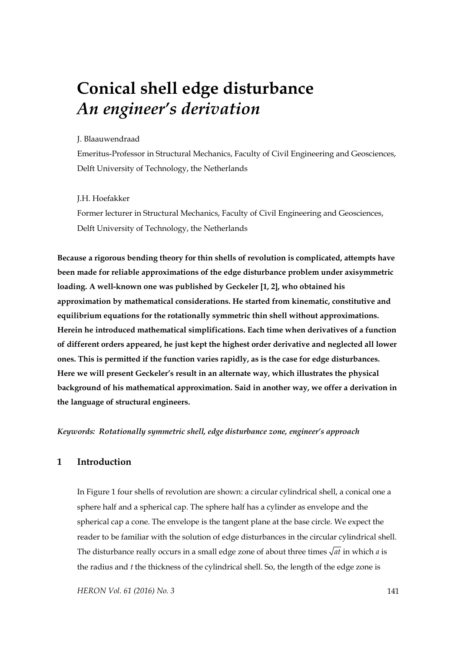# **Conical shell edge disturbance**  *An engineer's derivation*

## J. Blaauwendraad

Emeritus-Professor in Structural Mechanics, Faculty of Civil Engineering and Geosciences, Delft University of Technology, the Netherlands

### J.H. Hoefakker

Former lecturer in Structural Mechanics, Faculty of Civil Engineering and Geosciences, Delft University of Technology, the Netherlands

**Because a rigorous bending theory for thin shells of revolution is complicated, attempts have been made for reliable approximations of the edge disturbance problem under axisymmetric loading. A well-known one was published by Geckeler [1, 2], who obtained his approximation by mathematical considerations. He started from kinematic, constitutive and equilibrium equations for the rotationally symmetric thin shell without approximations. Herein he introduced mathematical simplifications. Each time when derivatives of a function of different orders appeared, he just kept the highest order derivative and neglected all lower ones. This is permitted if the function varies rapidly, as is the case for edge disturbances. Here we will present Geckeler's result in an alternate way, which illustrates the physical background of his mathematical approximation. Said in another way, we offer a derivation in the language of structural engineers.** 

*Keywords: Rotationally symmetric shell, edge disturbance zone, engineer's approach* 

# **1 Introduction**

In Figure 1 four shells of revolution are shown: a circular cylindrical shell, a conical one a sphere half and a spherical cap. The sphere half has a cylinder as envelope and the spherical cap a cone. The envelope is the tangent plane at the base circle. We expect the reader to be familiar with the solution of edge disturbances in the circular cylindrical shell. The disturbance really occurs in a small edge zone of about three times  $\sqrt{at}$  in which *a* is the radius and *t* the thickness of the cylindrical shell. So, the length of the edge zone is

*HERON Vol. 61 (2016) No. 3* 141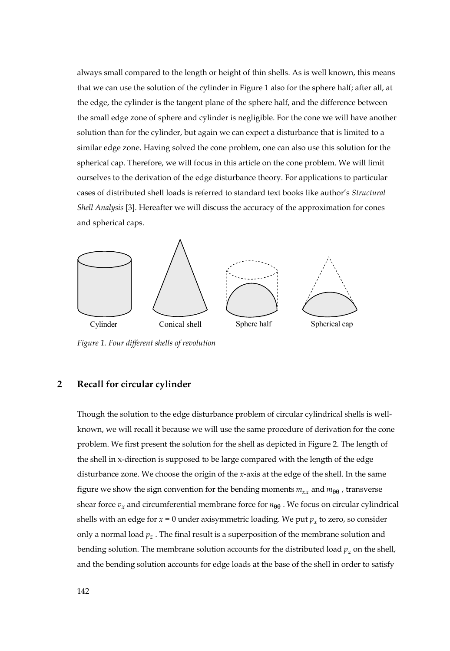always small compared to the length or height of thin shells. As is well known, this means that we can use the solution of the cylinder in Figure 1 also for the sphere half; after all, at the edge, the cylinder is the tangent plane of the sphere half, and the difference between the small edge zone of sphere and cylinder is negligible. For the cone we will have another solution than for the cylinder, but again we can expect a disturbance that is limited to a similar edge zone. Having solved the cone problem, one can also use this solution for the spherical cap. Therefore, we will focus in this article on the cone problem. We will limit ourselves to the derivation of the edge disturbance theory. For applications to particular cases of distributed shell loads is referred to standard text books like author's *Structural Shell Analysis* [3]. Hereafter we will discuss the accuracy of the approximation for cones and spherical caps.



*Figure 1. Four different shells of revolution* 

## **2 Recall for circular cylinder**

Though the solution to the edge disturbance problem of circular cylindrical shells is wellknown, we will recall it because we will use the same procedure of derivation for the cone problem. We first present the solution for the shell as depicted in Figure 2. The length of the shell in x-direction is supposed to be large compared with the length of the edge disturbance zone. We choose the origin of the *x*-axis at the edge of the shell. In the same figure we show the sign convention for the bending moments  $m_{xx}$  and  $m_{\theta\theta}$ , transverse shear force  $v_x$  and circumferential membrane force for  $n_{\theta\theta}$ . We focus on circular cylindrical shells with an edge for  $x = 0$  under axisymmetric loading. We put  $p_x$  to zero, so consider only a normal load  $p_z$ . The final result is a superposition of the membrane solution and bending solution. The membrane solution accounts for the distributed load  $p<sub>z</sub>$  on the shell, and the bending solution accounts for edge loads at the base of the shell in order to satisfy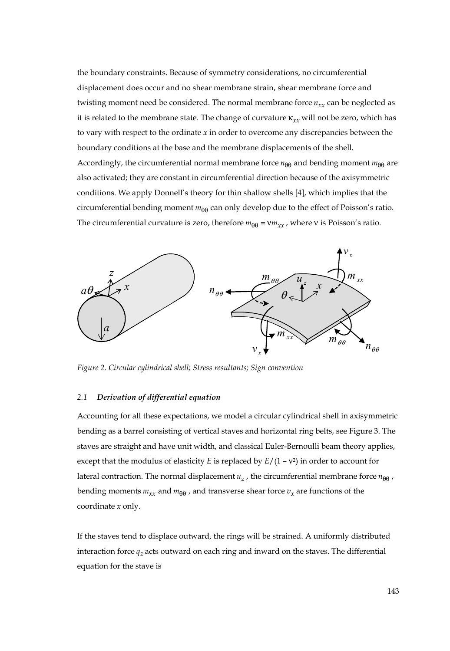the boundary constraints. Because of symmetry considerations, no circumferential displacement does occur and no shear membrane strain, shear membrane force and twisting moment need be considered. The normal membrane force  $n_{xx}$  can be neglected as it is related to the membrane state. The change of curvature κ<sub>xx</sub> will not be zero, which has to vary with respect to the ordinate *x* in order to overcome any discrepancies between the boundary conditions at the base and the membrane displacements of the shell. Accordingly, the circumferential normal membrane force  $n_{\theta\theta}$  and bending moment  $m_{\theta\theta}$  are also activated; they are constant in circumferential direction because of the axisymmetric conditions. We apply Donnell's theory for thin shallow shells [4], which implies that the circumferential bending moment  $m_{\theta\theta}$  can only develop due to the effect of Poisson's ratio. The circumferential curvature is zero, therefore  $m_{\theta\theta} = v m_{xx}$ , where v is Poisson's ratio.



*Figure 2. Circular cylindrical shell; Stress resultants; Sign convention* 

#### *2.1 Derivation of differential equation*

Accounting for all these expectations, we model a circular cylindrical shell in axisymmetric bending as a barrel consisting of vertical staves and horizontal ring belts, see Figure 3. The staves are straight and have unit width, and classical Euler-Bernoulli beam theory applies, except that the modulus of elasticity *E* is replaced by  $E/(1 - v^2)$  in order to account for lateral contraction. The normal displacement  $u_z$ , the circumferential membrane force  $n_{\theta\theta}$ , bending moments  $m_{xx}$  and  $m_{\theta\theta}$ , and transverse shear force  $v_x$  are functions of the coordinate *x* only.

If the staves tend to displace outward, the rings will be strained. A uniformly distributed interaction force  $q_z$  acts outward on each ring and inward on the staves. The differential equation for the stave is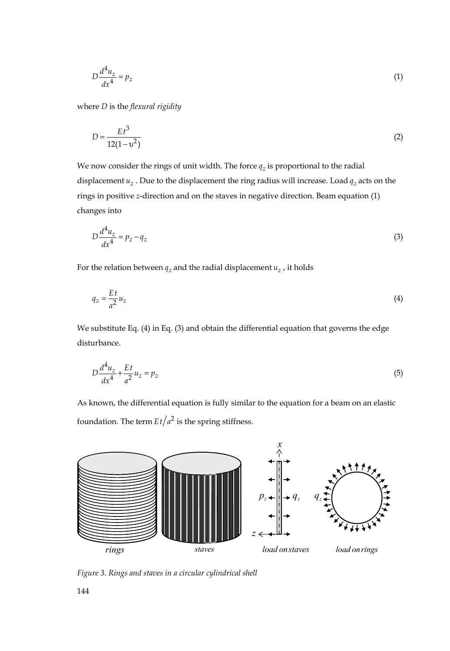$$
D\frac{d^4u_z}{dx^4} = p_z \tag{1}
$$

where *D* is the *flexural rigidity*

$$
D = \frac{Et^3}{12(1 - v^2)}
$$
 (2)

We now consider the rings of unit width. The force  $q_z$  is proportional to the radial displacement  $u_z$ . Due to the displacement the ring radius will increase. Load  $q_z$  acts on the rings in positive *z*-direction and on the staves in negative direction. Beam equation (1) changes into

$$
D\frac{d^4u_z}{dx^4} = p_z - q_z \tag{3}
$$

For the relation between  $q_z$  and the radial displacement  $u_z$ , it holds

$$
q_z = \frac{Et}{a^2} u_z \tag{4}
$$

We substitute Eq. (4) in Eq. (3) and obtain the differential equation that governs the edge disturbance.

$$
D\frac{d^4u_z}{dx^4} + \frac{Et}{a^2}u_z = p_z
$$
\n(5)

As known, the differential equation is fully similar to the equation for a beam on an elastic foundation. The term  $Et/a^2$  is the spring stiffness.



*Figure 3. Rings and staves in a circular cylindrical shell*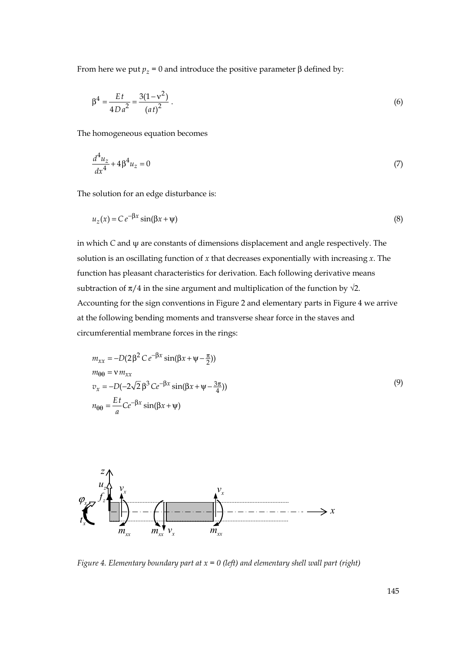From here we put  $p_z = 0$  and introduce the positive parameter  $\beta$  defined by:

$$
\beta^4 = \frac{Et}{4Da^2} = \frac{3(1 - v^2)}{(at)^2} \,. \tag{6}
$$

The homogeneous equation becomes

$$
\frac{d^4u_z}{dx^4} + 4\beta^4 u_z = 0\tag{7}
$$

The solution for an edge disturbance is:

$$
u_z(x) = Ce^{-\beta x} \sin(\beta x + \psi)
$$
 (8)

in which *C* and ψ are constants of dimensions displacement and angle respectively. The solution is an oscillating function of *x* that decreases exponentially with increasing *x*. The function has pleasant characteristics for derivation. Each following derivative means subtraction of  $\pi/4$  in the sine argument and multiplication of the function by  $\sqrt{2}$ . Accounting for the sign conventions in Figure 2 and elementary parts in Figure 4 we arrive at the following bending moments and transverse shear force in the staves and circumferential membrane forces in the rings:

$$
m_{xx} = -D(2\beta^2 C e^{-\beta x} \sin(\beta x + \psi - \frac{\pi}{2}))
$$
  
\n
$$
m_{\theta\theta} = v m_{xx}
$$
  
\n
$$
v_x = -D(-2\sqrt{2}\beta^3 C e^{-\beta x} \sin(\beta x + \psi - \frac{3\pi}{4}))
$$
  
\n
$$
n_{\theta\theta} = \frac{Et}{a} C e^{-\beta x} \sin(\beta x + \psi)
$$
\n(9)



*Figure 4. Elementary boundary part at x = 0 (left) and elementary shell wall part (right)*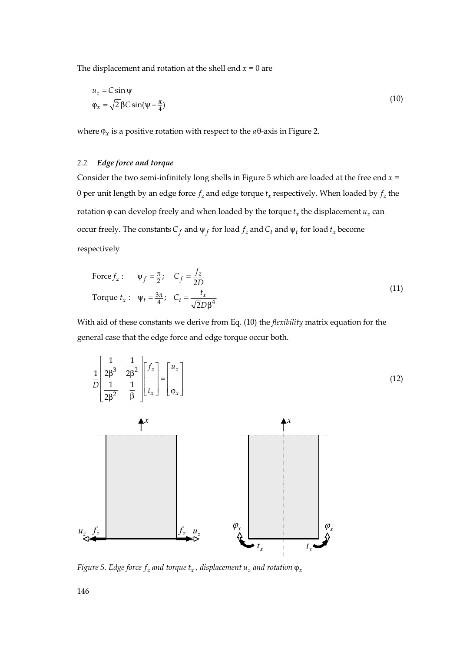The displacement and rotation at the shell end  $x = 0$  are

$$
u_z = C \sin \psi
$$
  
\n
$$
\varphi_x = \sqrt{2} \beta C \sin(\psi - \frac{\pi}{4})
$$
\n(10)

where  $\varphi_x$  is a positive rotation with respect to the  $a\theta$ -axis in Figure 2.

## *2.2 Edge force and torque*

Consider the two semi-infinitely long shells in Figure 5 which are loaded at the free end *x* = 0 per unit length by an edge force  $f_z$  and edge torque  $t_x$  respectively. When loaded by  $f_z$  the rotation  $\varphi$  can develop freely and when loaded by the torque  $t<sub>x</sub>$  the displacement  $u<sub>z</sub>$  can occur freely. The constants  $C_f$  and  $\psi_f$  for load  $f_z$  and  $C_t$  and  $\psi_t$  for load  $t_x$  become respectively

Force 
$$
f_z
$$
:  $\Psi_f = \frac{\pi}{2}$ ;  $C_f = \frac{f_z}{2D}$ 

\nTorque  $t_x$ :  $\Psi_t = \frac{3\pi}{4}$ ;  $C_t = \frac{t_x}{\sqrt{2D\beta^4}}$ 

\n(11)

With aid of these constants we derive from Eq. (10) the *flexibility* matrix equation for the general case that the edge force and edge torque occur both.



*Figure* 5. Edge force  $f_z$  *and torque*  $t_x$ , *displacement*  $u_z$  *and rotation*  $\varphi_x$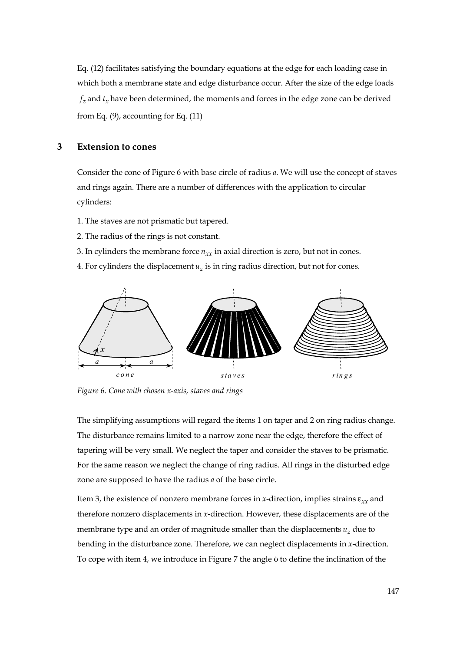Eq. (12) facilitates satisfying the boundary equations at the edge for each loading case in which both a membrane state and edge disturbance occur. After the size of the edge loads  $f<sub>z</sub>$  and  $t<sub>y</sub>$  have been determined, the moments and forces in the edge zone can be derived from Eq. (9), accounting for Eq. (11)

# **3 Extension to cones**

Consider the cone of Figure 6 with base circle of radius *a*. We will use the concept of staves and rings again. There are a number of differences with the application to circular cylinders:

- 1. The staves are not prismatic but tapered.
- 2. The radius of the rings is not constant.
- 3. In cylinders the membrane force  $n_{rr}$  in axial direction is zero, but not in cones.
- 4. For cylinders the displacement  $u<sub>z</sub>$  is in ring radius direction, but not for cones.



*Figure 6. Cone with chosen x-axis, staves and rings* 

The simplifying assumptions will regard the items 1 on taper and 2 on ring radius change. The disturbance remains limited to a narrow zone near the edge, therefore the effect of tapering will be very small. We neglect the taper and consider the staves to be prismatic. For the same reason we neglect the change of ring radius. All rings in the disturbed edge zone are supposed to have the radius *a* of the base circle.

Item 3, the existence of nonzero membrane forces in *x*-direction, implies strains ε*xx* and therefore nonzero displacements in *x*-direction. However, these displacements are of the membrane type and an order of magnitude smaller than the displacements  $u<sub>z</sub>$  due to bending in the disturbance zone. Therefore, we can neglect displacements in *x*-direction. To cope with item 4, we introduce in Figure 7 the angle φ to define the inclination of the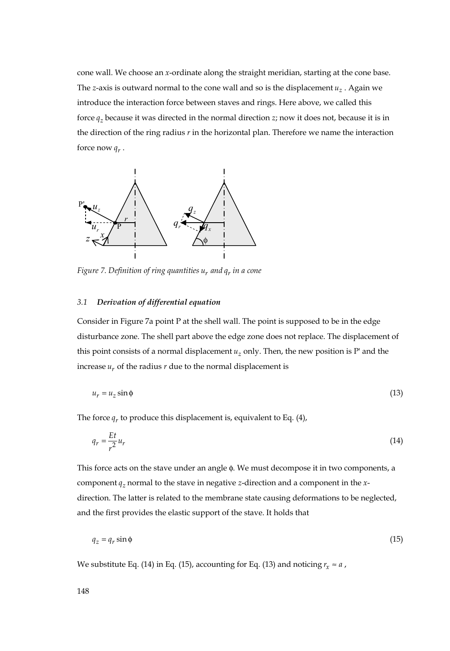cone wall. We choose an *x*-ordinate along the straight meridian, starting at the cone base. The *z*-axis is outward normal to the cone wall and so is the displacement  $u<sub>z</sub>$ . Again we introduce the interaction force between staves and rings. Here above, we called this force  $q_z$  because it was directed in the normal direction *z*; now it does not, because it is in the direction of the ring radius *r* in the horizontal plan. Therefore we name the interaction force now  $q_r$ .



*Figure 7. Definition of ring quantities*  $u_r$  *and*  $q_r$  *in a cone* 

#### *3.1 Derivation of differential equation*

Consider in Figure 7a point P at the shell wall. The point is supposed to be in the edge disturbance zone. The shell part above the edge zone does not replace. The displacement of this point consists of a normal displacement *uz* only. Then, the new position is P' and the increase  $u_r$  of the radius  $r$  due to the normal displacement is

$$
u_r = u_z \sin \phi \tag{13}
$$

The force  $q_r$  to produce this displacement is, equivalent to Eq. (4),

$$
q_r = \frac{Et}{r^2} u_r \tag{14}
$$

This force acts on the stave under an angle φ. We must decompose it in two components, a component  $q_z$  normal to the stave in negative *z*-direction and a component in the *x*direction. The latter is related to the membrane state causing deformations to be neglected, and the first provides the elastic support of the stave. It holds that

$$
q_z = q_r \sin \phi \tag{15}
$$

We substitute Eq. (14) in Eq. (15), accounting for Eq. (13) and noticing  $r_x \approx a$ ,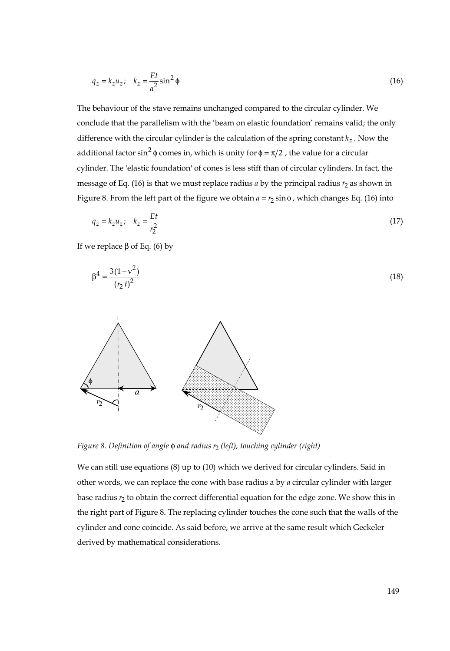$$
q_z = k_z u_z; \quad k_z = \frac{Et}{a^2} \sin^2 \phi \tag{16}
$$

The behaviour of the stave remains unchanged compared to the circular cylinder. We conclude that the parallelism with the 'beam on elastic foundation' remains valid; the only difference with the circular cylinder is the calculation of the spring constant  $k_z$ . Now the additional factor sin<sup>2</sup>  $\phi$  comes in, which is unity for  $\phi = \pi/2$ , the value for a circular cylinder. The 'elastic foundation' of cones is less stiff than of circular cylinders. In fact, the message of Eq. (16) is that we must replace radius  $a$  by the principal radius  $r_2$  as shown in Figure 8. From the left part of the figure we obtain  $a = r<sub>2</sub> \sin \phi$ , which changes Eq. (16) into

$$
q_z = k_z u_z; \quad k_z = \frac{Et}{r_2^2}
$$
 (17)

If we replace β of Eq. (6) by

$$
\beta^4 = \frac{3(1 - v^2)}{(r_2 t)^2} \tag{18}
$$



*Figure 8. Definition of angle* φ *and radius* <sup>2</sup>*r (left), touching cylinder (right)* 

We can still use equations (8) up to (10) which we derived for circular cylinders. Said in other words, we can replace the cone with base radius a by *a* circular cylinder with larger base radius <sup>2</sup>*r* to obtain the correct differential equation for the edge zone. We show this in the right part of Figure 8. The replacing cylinder touches the cone such that the walls of the cylinder and cone coincide. As said before, we arrive at the same result which Geckeler derived by mathematical considerations.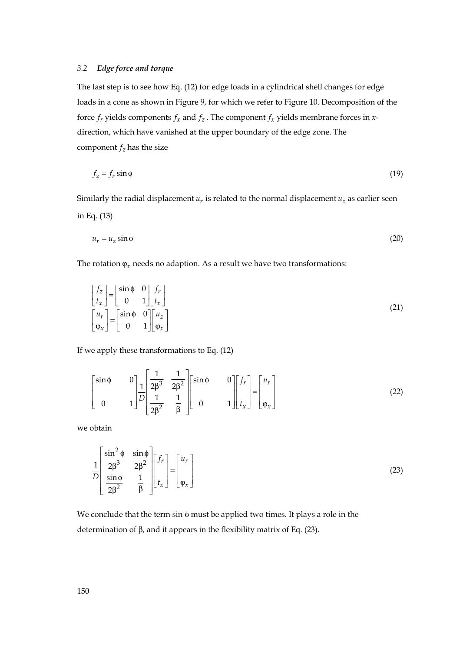#### *3.2 Edge force and torque*

The last step is to see how Eq. (12) for edge loads in a cylindrical shell changes for edge loads in a cone as shown in Figure 9, for which we refer to Figure 10. Decomposition of the force  $f_r$  yields components  $f_r$  and  $f_z$ . The component  $f_r$  yields membrane forces in *x*direction, which have vanished at the upper boundary of the edge zone. The component  $f_z$  has the size

$$
f_z = f_r \sin \phi \tag{19}
$$

Similarly the radial displacement  $u_r$  is related to the normal displacement  $u_z$  as earlier seen in Eq. (13)

$$
u_r = u_z \sin \phi \tag{20}
$$

The rotation  $\varphi_x$  needs no adaption. As a result we have two transformations:

$$
\begin{bmatrix} f_z \\ t_x \end{bmatrix} = \begin{bmatrix} \sin \phi & 0 \\ 0 & 1 \end{bmatrix} \begin{bmatrix} f_r \\ t_x \end{bmatrix}
$$
  

$$
\begin{bmatrix} u_r \\ \varphi_x \end{bmatrix} = \begin{bmatrix} \sin \phi & 0 \\ 0 & 1 \end{bmatrix} \begin{bmatrix} u_z \\ \varphi_x \end{bmatrix}
$$
 (21)

If we apply these transformations to Eq. (12)

$$
\begin{bmatrix} \sin \phi & 0 \\ 0 & 1 \end{bmatrix} \frac{1}{D} \begin{bmatrix} \frac{1}{2\beta^3} & \frac{1}{2\beta^2} \\ \frac{1}{2\beta^2} & \frac{1}{\beta} \end{bmatrix} \begin{bmatrix} \sin \phi & 0 \\ 0 & 1 \end{bmatrix} \begin{bmatrix} f_r \\ t_x \end{bmatrix} = \begin{bmatrix} u_r \\ \varphi_x \end{bmatrix}
$$
 (22)

we obtain

$$
\frac{1}{D} \begin{bmatrix} \frac{\sin^2 \phi}{2\beta^3} & \frac{\sin \phi}{2\beta^2} \\ \frac{\sin \phi}{2\beta^2} & \frac{1}{\beta} \end{bmatrix} \begin{bmatrix} f_r \\ t_x \end{bmatrix} = \begin{bmatrix} u_r \\ \varphi_x \end{bmatrix}
$$
\n(23)

We conclude that the term sin φ must be applied two times. It plays a role in the determination of β, and it appears in the flexibility matrix of Eq. (23).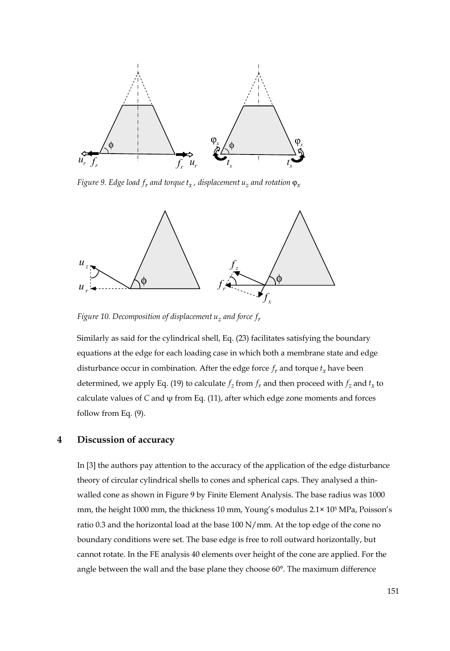

*Figure 9. Edge load*  $f_r$  *and torque*  $t_x$ *, displacement*  $u_z$  *and rotation*  $\varphi_x$ 



*Figure 10. Decomposition of displacement uz and force rf*

Similarly as said for the cylindrical shell, Eq. (23) facilitates satisfying the boundary equations at the edge for each loading case in which both a membrane state and edge disturbance occur in combination. After the edge force  $f_r$  and torque  $t_x$  have been determined, we apply Eq. (19) to calculate  $f_z$  from  $f_r$  and then proceed with  $f_z$  and  $t_x$  to calculate values of *C* and ψ from Eq. (11), after which edge zone moments and forces follow from Eq. (9).

# **4 Discussion of accuracy**

In [3] the authors pay attention to the accuracy of the application of the edge disturbance theory of circular cylindrical shells to cones and spherical caps. They analysed a thinwalled cone as shown in Figure 9 by Finite Element Analysis. The base radius was 1000 mm, the height 1000 mm, the thickness 10 mm, Young's modulus 2.1× 105 MPa, Poisson's ratio 0.3 and the horizontal load at the base 100 N/mm. At the top edge of the cone no boundary conditions were set. The base edge is free to roll outward horizontally, but cannot rotate. In the FE analysis 40 elements over height of the cone are applied. For the angle between the wall and the base plane they choose 60°. The maximum difference